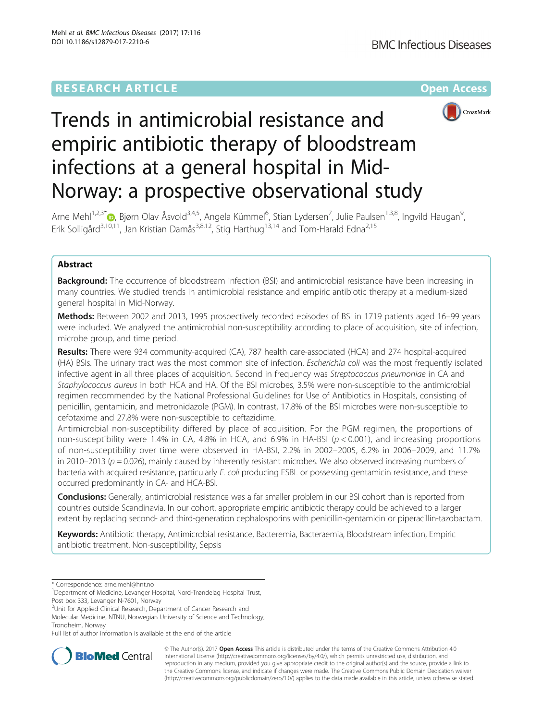# **RESEARCH ARTICLE Example 2014 12:30 The Community Community Community Community Community Community Community**



# Trends in antimicrobial resistance and empiric antibiotic therapy of bloodstream infections at a general hospital in Mid-Norway: a prospective observational study

Arne Mehl<sup>1,2,3[\\*](http://orcid.org/0000-0001-6711-0333)</sup> (D, Bjørn Olav Åsvold<sup>3,4,5</sup>, Angela Kümmel<sup>6</sup>, Stian Lydersen<sup>7</sup>, Julie Paulsen<sup>1,3,8</sup>, Ingvild Haugan<sup>s</sup> , Erik Solligård<sup>3,10,11</sup>, Jan Kristian Damås<sup>3,8,12</sup>, Stig Harthug<sup>13,14</sup> and Tom-Harald Edna<sup>2,15</sup>

# Abstract

**Background:** The occurrence of bloodstream infection (BSI) and antimicrobial resistance have been increasing in many countries. We studied trends in antimicrobial resistance and empiric antibiotic therapy at a medium-sized general hospital in Mid-Norway.

Methods: Between 2002 and 2013, 1995 prospectively recorded episodes of BSI in 1719 patients aged 16–99 years were included. We analyzed the antimicrobial non-susceptibility according to place of acquisition, site of infection, microbe group, and time period.

Results: There were 934 community-acquired (CA), 787 health care-associated (HCA) and 274 hospital-acquired (HA) BSIs. The urinary tract was the most common site of infection. Escherichia coli was the most frequently isolated infective agent in all three places of acquisition. Second in frequency was Streptococcus pneumoniae in CA and Staphylococcus aureus in both HCA and HA. Of the BSI microbes, 3.5% were non-susceptible to the antimicrobial regimen recommended by the National Professional Guidelines for Use of Antibiotics in Hospitals, consisting of penicillin, gentamicin, and metronidazole (PGM). In contrast, 17.8% of the BSI microbes were non-susceptible to cefotaxime and 27.8% were non-susceptible to ceftazidime.

Antimicrobial non-susceptibility differed by place of acquisition. For the PGM regimen, the proportions of non-susceptibility were 1.4% in CA, 4.8% in HCA, and 6.9% in HA-BSI ( $p < 0.001$ ), and increasing proportions of non-susceptibility over time were observed in HA-BSI, 2.2% in 2002–2005, 6.2% in 2006–2009, and 11.7% in 2010–2013 ( $p = 0.026$ ), mainly caused by inherently resistant microbes. We also observed increasing numbers of bacteria with acquired resistance, particularly E. coli producing ESBL or possessing gentamicin resistance, and these occurred predominantly in CA- and HCA-BSI.

Conclusions: Generally, antimicrobial resistance was a far smaller problem in our BSI cohort than is reported from countries outside Scandinavia. In our cohort, appropriate empiric antibiotic therapy could be achieved to a larger extent by replacing second- and third-generation cephalosporins with penicillin-gentamicin or piperacillin-tazobactam.

Keywords: Antibiotic therapy, Antimicrobial resistance, Bacteremia, Bacteraemia, Bloodstream infection, Empiric antibiotic treatment, Non-susceptibility, Sepsis

Post box 333, Levanger N-7601, Norway

<sup>2</sup>Unit for Applied Clinical Research, Department of Cancer Research and Molecular Medicine, NTNU, Norwegian University of Science and Technology, Trondheim, Norway

Full list of author information is available at the end of the article



© The Author(s). 2017 **Open Access** This article is distributed under the terms of the Creative Commons Attribution 4.0 International License [\(http://creativecommons.org/licenses/by/4.0/](http://creativecommons.org/licenses/by/4.0/)), which permits unrestricted use, distribution, and reproduction in any medium, provided you give appropriate credit to the original author(s) and the source, provide a link to the Creative Commons license, and indicate if changes were made. The Creative Commons Public Domain Dedication waiver [\(http://creativecommons.org/publicdomain/zero/1.0/](http://creativecommons.org/publicdomain/zero/1.0/)) applies to the data made available in this article, unless otherwise stated.

<sup>\*</sup> Correspondence: [arne.mehl@hnt.no](mailto:arne.mehl@hnt.no) <sup>1</sup>

Department of Medicine, Levanger Hospital, Nord-Trøndelag Hospital Trust,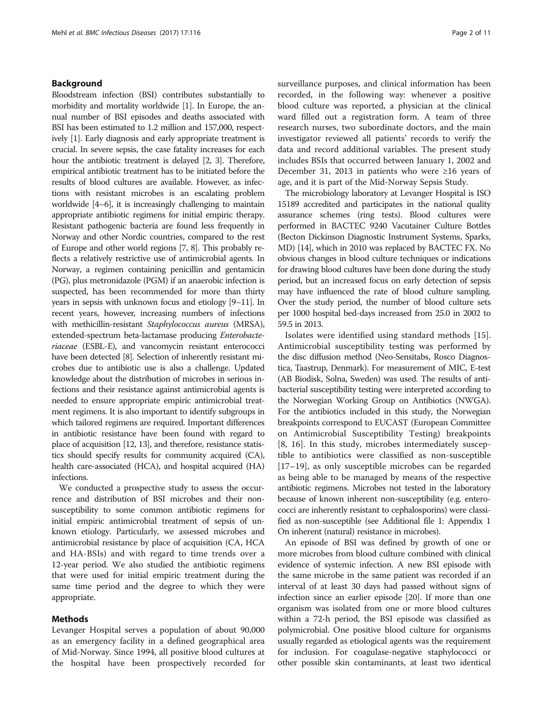# Background

Bloodstream infection (BSI) contributes substantially to morbidity and mortality worldwide [\[1\]](#page-10-0). In Europe, the annual number of BSI episodes and deaths associated with BSI has been estimated to 1.2 million and 157,000, respectively [\[1](#page-10-0)]. Early diagnosis and early appropriate treatment is crucial. In severe sepsis, the case fatality increases for each hour the antibiotic treatment is delayed [\[2](#page-10-0), [3\]](#page-10-0). Therefore, empirical antibiotic treatment has to be initiated before the results of blood cultures are available. However, as infections with resistant microbes is an escalating problem worldwide [\[4](#page-10-0)–[6](#page-10-0)], it is increasingly challenging to maintain appropriate antibiotic regimens for initial empiric therapy. Resistant pathogenic bacteria are found less frequently in Norway and other Nordic countries, compared to the rest of Europe and other world regions [\[7](#page-10-0), [8\]](#page-10-0). This probably reflects a relatively restrictive use of antimicrobial agents. In Norway, a regimen containing penicillin and gentamicin (PG), plus metronidazole (PGM) if an anaerobic infection is suspected, has been recommended for more than thirty years in sepsis with unknown focus and etiology [\[9](#page-10-0)–[11\]](#page-10-0). In recent years, however, increasing numbers of infections with methicillin-resistant Staphylococcus aureus (MRSA), extended-spectrum beta-lactamase producing Enterobacteriaceae (ESBL-E), and vancomycin resistant enterococci have been detected [[8](#page-10-0)]. Selection of inherently resistant microbes due to antibiotic use is also a challenge. Updated knowledge about the distribution of microbes in serious infections and their resistance against antimicrobial agents is needed to ensure appropriate empiric antimicrobial treatment regimens. It is also important to identify subgroups in which tailored regimens are required. Important differences in antibiotic resistance have been found with regard to place of acquisition [\[12](#page-10-0), [13](#page-10-0)], and therefore, resistance statistics should specify results for community acquired (CA), health care-associated (HCA), and hospital acquired (HA) infections.

We conducted a prospective study to assess the occurrence and distribution of BSI microbes and their nonsusceptibility to some common antibiotic regimens for initial empiric antimicrobial treatment of sepsis of unknown etiology. Particularly, we assessed microbes and antimicrobial resistance by place of acquisition (CA, HCA and HA-BSIs) and with regard to time trends over a 12-year period. We also studied the antibiotic regimens that were used for initial empiric treatment during the same time period and the degree to which they were appropriate.

# Methods

Levanger Hospital serves a population of about 90,000 as an emergency facility in a defined geographical area of Mid-Norway. Since 1994, all positive blood cultures at the hospital have been prospectively recorded for surveillance purposes, and clinical information has been recorded, in the following way: whenever a positive blood culture was reported, a physician at the clinical ward filled out a registration form. A team of three research nurses, two subordinate doctors, and the main investigator reviewed all patients' records to verify the data and record additional variables. The present study includes BSIs that occurred between January 1, 2002 and December 31, 2013 in patients who were ≥16 years of age, and it is part of the Mid-Norway Sepsis Study.

The microbiology laboratory at Levanger Hospital is ISO 15189 accredited and participates in the national quality assurance schemes (ring tests). Blood cultures were performed in BACTEC 9240 Vacutainer Culture Bottles (Becton Dickinson Diagnostic Instrument Systems, Sparks, MD) [\[14\]](#page-10-0), which in 2010 was replaced by BACTEC FX. No obvious changes in blood culture techniques or indications for drawing blood cultures have been done during the study period, but an increased focus on early detection of sepsis may have influenced the rate of blood culture sampling. Over the study period, the number of blood culture sets per 1000 hospital bed-days increased from 25.0 in 2002 to 59.5 in 2013.

Isolates were identified using standard methods [\[15](#page-10-0)]. Antimicrobial susceptibility testing was performed by the disc diffusion method (Neo-Sensitabs, Rosco Diagnostica, Taastrup, Denmark). For measurement of MIC, E-test (AB Biodisk, Solna, Sweden) was used. The results of antibacterial susceptibility testing were interpreted according to the Norwegian Working Group on Antibiotics (NWGA). For the antibiotics included in this study, the Norwegian breakpoints correspond to EUCAST (European Committee on Antimicrobial Susceptibility Testing) breakpoints [[8, 16\]](#page-10-0). In this study, microbes intermediately susceptible to antibiotics were classified as non-susceptible [[17](#page-10-0)–[19](#page-10-0)], as only susceptible microbes can be regarded as being able to be managed by means of the respective antibiotic regimens. Microbes not tested in the laboratory because of known inherent non-susceptibility (e.g. enterococci are inherently resistant to cephalosporins) were classified as non-susceptible (see Additional file [1](#page-9-0): Appendix 1 On inherent (natural) resistance in microbes).

An episode of BSI was defined by growth of one or more microbes from blood culture combined with clinical evidence of systemic infection. A new BSI episode with the same microbe in the same patient was recorded if an interval of at least 30 days had passed without signs of infection since an earlier episode [\[20\]](#page-10-0). If more than one organism was isolated from one or more blood cultures within a 72-h period, the BSI episode was classified as polymicrobial. One positive blood culture for organisms usually regarded as etiological agents was the requirement for inclusion. For coagulase-negative staphylococci or other possible skin contaminants, at least two identical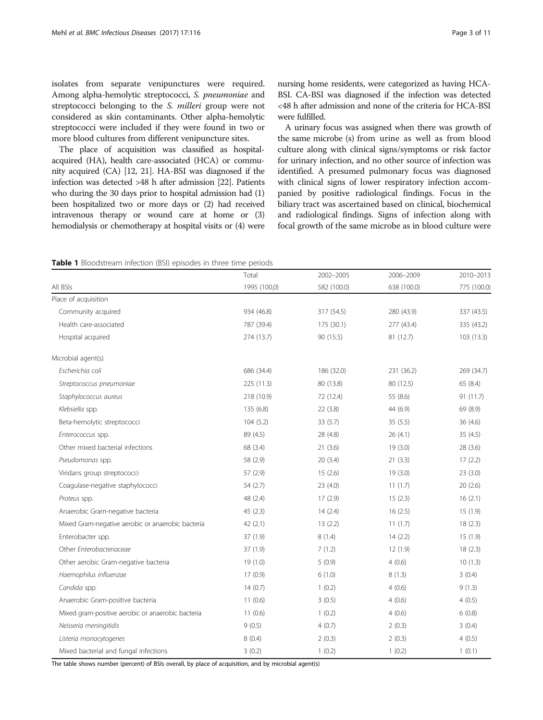<span id="page-2-0"></span>isolates from separate venipunctures were required. Among alpha-hemolytic streptococci, S. pneumoniae and streptococci belonging to the S. milleri group were not considered as skin contaminants. Other alpha-hemolytic streptococci were included if they were found in two or more blood cultures from different venipuncture sites.

The place of acquisition was classified as hospitalacquired (HA), health care-associated (HCA) or community acquired (CA) [\[12, 21\]](#page-10-0). HA-BSI was diagnosed if the infection was detected >48 h after admission [[22](#page-10-0)]. Patients who during the 30 days prior to hospital admission had (1) been hospitalized two or more days or (2) had received intravenous therapy or wound care at home or (3) hemodialysis or chemotherapy at hospital visits or (4) were nursing home residents, were categorized as having HCA-BSI. CA-BSI was diagnosed if the infection was detected <48 h after admission and none of the criteria for HCA-BSI were fulfilled.

A urinary focus was assigned when there was growth of the same microbe (s) from urine as well as from blood culture along with clinical signs/symptoms or risk factor for urinary infection, and no other source of infection was identified. A presumed pulmonary focus was diagnosed with clinical signs of lower respiratory infection accompanied by positive radiological findings. Focus in the biliary tract was ascertained based on clinical, biochemical and radiological findings. Signs of infection along with focal growth of the same microbe as in blood culture were

|  | <b>Table 1</b> Bloodstream infection (BSI) episodes in three time periods |  |  |  |  |  |  |  |  |
|--|---------------------------------------------------------------------------|--|--|--|--|--|--|--|--|
|--|---------------------------------------------------------------------------|--|--|--|--|--|--|--|--|

|                                                   | Total        | 2002-2005   | 2006-2009   | 2010-2013   |
|---------------------------------------------------|--------------|-------------|-------------|-------------|
| All BSIs                                          | 1995 (100,0) | 582 (100.0) | 638 (100.0) | 775 (100.0) |
| Place of acquisition                              |              |             |             |             |
| Community acquired                                | 934 (46.8)   | 317 (54.5)  | 280 (43.9)  | 337 (43.5)  |
| Health care-associated                            | 787 (39.4)   | 175 (30.1)  | 277 (43.4)  | 335 (43.2)  |
| Hospital acquired                                 | 274 (13.7)   | 90 (15.5)   | 81 (12.7)   | 103(13.3)   |
| Microbial agent(s)                                |              |             |             |             |
| Escherichia coli                                  | 686 (34.4)   | 186 (32.0)  | 231 (36.2)  | 269 (34.7)  |
| Streptococcus pneumoniae                          | 225 (11.3)   | 80 (13.8)   | 80 (12.5)   | 65 (8.4)    |
| Staphylococcus aureus                             | 218 (10.9)   | 72 (12.4)   | 55 (8.6)    | 91 (11.7)   |
| Klebsiella spp.                                   | 135 (6.8)    | 22(3.8)     | 44 (6.9)    | 69 (8.9)    |
| Beta-hemolytic streptococci                       | 104(5.2)     | 33(5.7)     | 35(5.5)     | 36(4.6)     |
| Enterococcus spp.                                 | 89 (4.5)     | 28 (4.8)    | 26(4.1)     | 35(4.5)     |
| Other mixed bacterial infections                  | 68 (3.4)     | 21(3.6)     | 19(3.0)     | 28 (3.6)    |
| Pseudomonas spp.                                  | 58 (2.9)     | 20(3.4)     | 21(3.3)     | 17(2.2)     |
| Viridans group streptococci                       | 57 (2.9)     | 15(2.6)     | 19(3.0)     | 23(3.0)     |
| Coagulase-negative staphylococci                  | 54(2.7)      | 23(4.0)     | 11(1.7)     | 20(2.6)     |
| Proteus spp.                                      | 48 (2.4)     | 17(2.9)     | 15(2.3)     | 16(2.1)     |
| Anaerobic Gram-negative bacteria                  | 45(2.3)      | 14(2.4)     | 16(2.5)     | 15(1.9)     |
| Mixed Gram-negative aerobic or anaerobic bacteria | 42(2.1)      | 13(2.2)     | 11(1.7)     | 18(2.3)     |
| Enterobacter spp.                                 | 37 (1.9)     | 8(1.4)      | 14(2.2)     | 15(1.9)     |
| Other Enterobacteriaceae                          | 37 (1.9)     | 7(1.2)      | 12(1.9)     | 18(2.3)     |
| Other aerobic Gram-negative bacteria              | 19(1.0)      | 5(0.9)      | 4(0.6)      | 10(1.3)     |
| Haemophilus influenzae                            | 17(0.9)      | 6(1.0)      | 8(1.3)      | 3(0.4)      |
| Candida spp.                                      | 14(0.7)      | 1(0.2)      | 4(0.6)      | 9(1.3)      |
| Anaerobic Gram-positive bacteria                  | 11(0.6)      | 3(0.5)      | 4(0.6)      | 4(0.5)      |
| Mixed gram-positive aerobic or anaerobic bacteria | 11(0.6)      | 1(0.2)      | 4(0.6)      | 6(0.8)      |
| Neisseria meningitidis                            | 9(0.5)       | 4(0.7)      | 2(0.3)      | 3(0.4)      |
| Listeria monocytogenes                            | 8(0.4)       | 2(0.3)      | 2(0.3)      | 4(0.5)      |
| Mixed bacterial and fungal infections             | 3(0.2)       | 1(0.2)      | 1(0.2)      | 1(0.1)      |

The table shows number (percent) of BSIs overall, by place of acquisition, and by microbial agent(s)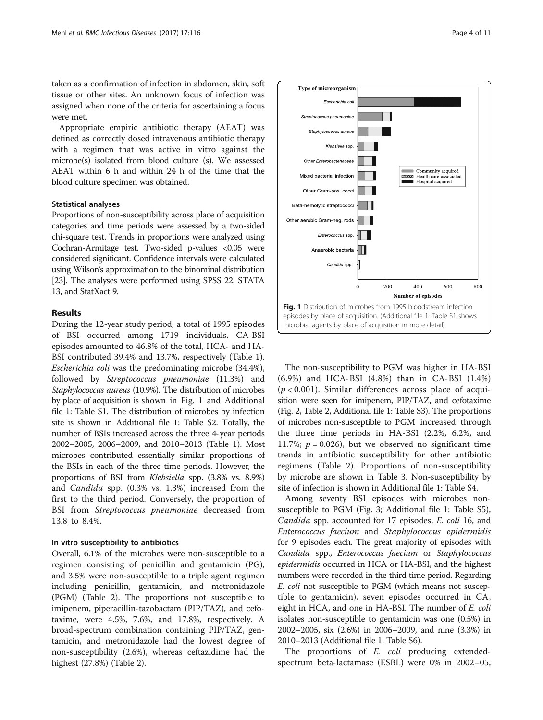taken as a confirmation of infection in abdomen, skin, soft tissue or other sites. An unknown focus of infection was assigned when none of the criteria for ascertaining a focus were met.

Appropriate empiric antibiotic therapy (AEAT) was defined as correctly dosed intravenous antibiotic therapy with a regimen that was active in vitro against the microbe(s) isolated from blood culture (s). We assessed AEAT within 6 h and within 24 h of the time that the blood culture specimen was obtained.

# Statistical analyses

Proportions of non-susceptibility across place of acquisition categories and time periods were assessed by a two-sided chi-square test. Trends in proportions were analyzed using Cochran-Armitage test. Two-sided p-values <0.05 were considered significant. Confidence intervals were calculated using Wilson's approximation to the binominal distribution [[23](#page-10-0)]. The analyses were performed using SPSS 22, STATA 13, and StatXact 9.

# Results

During the 12-year study period, a total of 1995 episodes of BSI occurred among 1719 individuals. CA-BSI episodes amounted to 46.8% of the total, HCA- and HA-BSI contributed 39.4% and 13.7%, respectively (Table [1](#page-2-0)). Escherichia coli was the predominating microbe (34.4%), followed by Streptococcus pneumoniae (11.3%) and Staphylococcus aureus (10.9%). The distribution of microbes by place of acquisition is shown in Fig. 1 and Additional file [1:](#page-9-0) Table S1. The distribution of microbes by infection site is shown in Additional file [1](#page-9-0): Table S2. Totally, the number of BSIs increased across the three 4-year periods 2002–2005, 2006–2009, and 2010–2013 (Table [1](#page-2-0)). Most microbes contributed essentially similar proportions of the BSIs in each of the three time periods. However, the proportions of BSI from Klebsiella spp. (3.8% vs. 8.9%) and Candida spp. (0.3% vs. 1.3%) increased from the first to the third period. Conversely, the proportion of BSI from Streptococcus pneumoniae decreased from 13.8 to 8.4%.

# In vitro susceptibility to antibiotics

Overall, 6.1% of the microbes were non-susceptible to a regimen consisting of penicillin and gentamicin (PG), and 3.5% were non-susceptible to a triple agent regimen including penicillin, gentamicin, and metronidazole (PGM) (Table [2](#page-4-0)). The proportions not susceptible to imipenem, piperacillin-tazobactam (PIP/TAZ), and cefotaxime, were 4.5%, 7.6%, and 17.8%, respectively. A broad-spectrum combination containing PIP/TAZ, gentamicin, and metronidazole had the lowest degree of non-susceptibility (2.6%), whereas ceftazidime had the highest (27.8%) (Table [2](#page-4-0)).



The non-susceptibility to PGM was higher in HA-BSI (6.9%) and HCA-BSI (4.8%) than in CA-BSI (1.4%)  $(p < 0.001)$ . Similar differences across place of acquisition were seen for imipenem, PIP/TAZ, and cefotaxime (Fig. [2,](#page-5-0) Table [2](#page-4-0), Additional file [1:](#page-9-0) Table S3). The proportions of microbes non-susceptible to PGM increased through the three time periods in HA-BSI (2.2%, 6.2%, and 11.7%;  $p = 0.026$ ), but we observed no significant time trends in antibiotic susceptibility for other antibiotic regimens (Table [2\)](#page-4-0). Proportions of non-susceptibility by microbe are shown in Table [3](#page-6-0). Non-susceptibility by site of infection is shown in Additional file [1](#page-9-0): Table S4.

Among seventy BSI episodes with microbes nonsusceptible to PGM (Fig. [3](#page-7-0); Additional file [1](#page-9-0): Table S5), Candida spp. accounted for 17 episodes, E. coli 16, and Enterococcus faecium and Staphylococcus epidermidis for 9 episodes each. The great majority of episodes with Candida spp., Enterococcus faecium or Staphylococcus epidermidis occurred in HCA or HA-BSI, and the highest numbers were recorded in the third time period. Regarding E. coli not susceptible to PGM (which means not susceptible to gentamicin), seven episodes occurred in CA, eight in HCA, and one in HA-BSI. The number of E. coli isolates non-susceptible to gentamicin was one (0.5%) in 2002–2005, six (2.6%) in 2006–2009, and nine (3.3%) in 2010–2013 (Additional file [1](#page-9-0): Table S6).

The proportions of *E. coli* producing extendedspectrum beta-lactamase (ESBL) were 0% in 2002–05,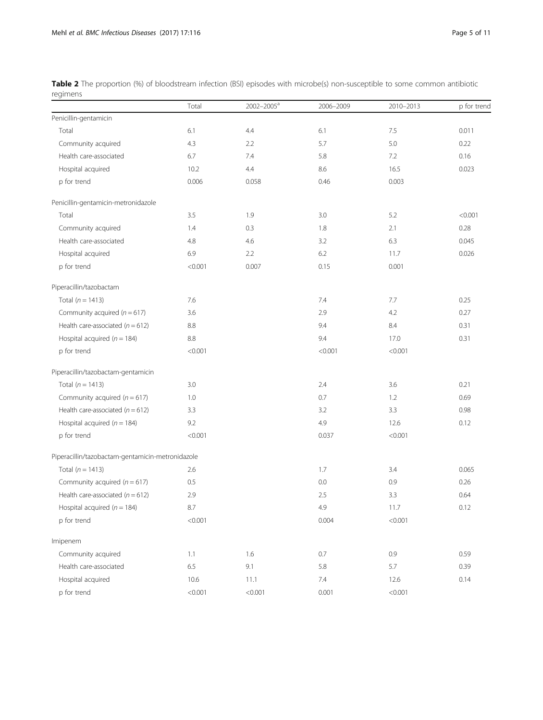<span id="page-4-0"></span>Table 2 The proportion (%) of bloodstream infection (BSI) episodes with microbe(s) non-susceptible to some common antibiotic regimens

|                                                  | Total   | 2002-2005 <sup>a</sup> | 2006-2009 | 2010-2013 | p for trend |
|--------------------------------------------------|---------|------------------------|-----------|-----------|-------------|
| Penicillin-gentamicin                            |         |                        |           |           |             |
| Total                                            | 6.1     | 4.4                    | 6.1       | 7.5       | 0.011       |
| Community acquired                               | 4.3     | 2.2                    | 5.7       | 5.0       | 0.22        |
| Health care-associated                           | 6.7     | 7.4                    | 5.8       | 7.2       | 0.16        |
| Hospital acquired                                | 10.2    | 4.4                    | 8.6       | 16.5      | 0.023       |
| p for trend                                      | 0.006   | 0.058                  | 0.46      | 0.003     |             |
| Penicillin-gentamicin-metronidazole              |         |                        |           |           |             |
| Total                                            | 3.5     | 1.9                    | 3.0       | 5.2       | < 0.001     |
| Community acquired                               | 1.4     | 0.3                    | 1.8       | 2.1       | 0.28        |
| Health care-associated                           | 4.8     | 4.6                    | 3.2       | 6.3       | 0.045       |
| Hospital acquired                                | 6.9     | 2.2                    | 6.2       | 11.7      | 0.026       |
| p for trend                                      | < 0.001 | 0.007                  | 0.15      | 0.001     |             |
| Piperacillin/tazobactam                          |         |                        |           |           |             |
| Total ( $n = 1413$ )                             | 7.6     |                        | 7.4       | 7.7       | 0.25        |
| Community acquired ( $n = 617$ )                 | 3.6     |                        | 2.9       | 4.2       | 0.27        |
| Health care-associated ( $n = 612$ )             | 8.8     |                        | 9.4       | 8.4       | 0.31        |
| Hospital acquired ( $n = 184$ )                  | 8.8     |                        | 9.4       | 17.0      | 0.31        |
| p for trend                                      | < 0.001 |                        | < 0.001   | < 0.001   |             |
| Piperacillin/tazobactam-gentamicin               |         |                        |           |           |             |
| Total $(n = 1413)$                               | 3.0     |                        | 2.4       | 3.6       | 0.21        |
| Community acquired ( $n = 617$ )                 | 1.0     |                        | 0.7       | 1.2       | 0.69        |
| Health care-associated ( $n = 612$ )             | 3.3     |                        | 3.2       | 3.3       | 0.98        |
| Hospital acquired ( $n = 184$ )                  | 9.2     |                        | 4.9       | 12.6      | 0.12        |
| p for trend                                      | < 0.001 |                        | 0.037     | < 0.001   |             |
| Piperacillin/tazobactam-gentamicin-metronidazole |         |                        |           |           |             |
| Total ( $n = 1413$ )                             | 2.6     |                        | 1.7       | 3.4       | 0.065       |
| Community acquired ( $n = 617$ )                 | 0.5     |                        | 0.0       | 0.9       | 0.26        |
| Health care-associated $(n = 612)$               | 2.9     |                        | 2.5       | 3.3       | 0.64        |
| Hospital acquired ( $n = 184$ )                  | 8.7     |                        | 4.9       | 11.7      | 0.12        |
| p for trend                                      | < 0.001 |                        | 0.004     | < 0.001   |             |
| Imipenem                                         |         |                        |           |           |             |
| Community acquired                               | 1.1     | 1.6                    | 0.7       | 0.9       | 0.59        |
| Health care-associated                           | $6.5\,$ | 9.1                    | 5.8       | 5.7       | 0.39        |
| Hospital acquired                                | 10.6    | 11.1                   | 7.4       | 12.6      | 0.14        |
| p for trend                                      | < 0.001 | < 0.001                | 0.001     | < 0.001   |             |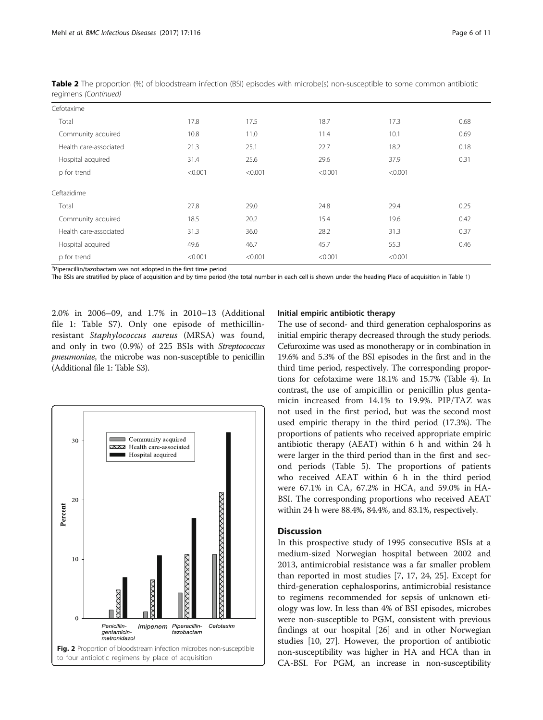| Cefotaxime             |         |         |         |         |      |
|------------------------|---------|---------|---------|---------|------|
| Total                  | 17.8    | 17.5    | 18.7    | 17.3    | 0.68 |
| Community acquired     | 10.8    | 11.0    | 11.4    | 10.1    | 0.69 |
| Health care-associated | 21.3    | 25.1    | 22.7    | 18.2    | 0.18 |
| Hospital acquired      | 31.4    | 25.6    | 29.6    | 37.9    | 0.31 |
| p for trend            | < 0.001 | < 0.001 | < 0.001 | < 0.001 |      |
| Ceftazidime            |         |         |         |         |      |
| Total                  | 27.8    | 29.0    | 24.8    | 29.4    | 0.25 |
| Community acquired     | 18.5    | 20.2    | 15.4    | 19.6    | 0.42 |
| Health care-associated | 31.3    | 36.0    | 28.2    | 31.3    | 0.37 |
| Hospital acquired      | 49.6    | 46.7    | 45.7    | 55.3    | 0.46 |
| p for trend            | < 0.001 | < 0.001 | < 0.001 | < 0.001 |      |

<span id="page-5-0"></span>Table 2 The proportion (%) of bloodstream infection (BSI) episodes with microbe(s) non-susceptible to some common antibiotic regimens (Continued)

<sup>a</sup>Piperacillin/tazobactam was not adopted in the first time period

The BSIs are stratified by place of acquisition and by time period (the total number in each cell is shown under the heading Place of acquisition in Table [1\)](#page-2-0)

2.0% in 2006–09, and 1.7% in 2010–13 (Additional file [1:](#page-9-0) Table S7). Only one episode of methicillinresistant Staphylococcus aureus (MRSA) was found, and only in two (0.9%) of 225 BSIs with Streptococcus pneumoniae, the microbe was non-susceptible to penicillin (Additional file [1:](#page-9-0) Table S3).



## Initial empiric antibiotic therapy

The use of second- and third generation cephalosporins as initial empiric therapy decreased through the study periods. Cefuroxime was used as monotherapy or in combination in 19.6% and 5.3% of the BSI episodes in the first and in the third time period, respectively. The corresponding proportions for cefotaxime were 18.1% and 15.7% (Table [4\)](#page-7-0). In contrast, the use of ampicillin or penicillin plus gentamicin increased from 14.1% to 19.9%. PIP/TAZ was not used in the first period, but was the second most used empiric therapy in the third period (17.3%). The proportions of patients who received appropriate empiric antibiotic therapy (AEAT) within 6 h and within 24 h were larger in the third period than in the first and second periods (Table [5](#page-7-0)). The proportions of patients who received AEAT within 6 h in the third period were 67.1% in CA, 67.2% in HCA, and 59.0% in HA-BSI. The corresponding proportions who received AEAT within 24 h were 88.4%, 84.4%, and 83.1%, respectively.

# **Discussion**

In this prospective study of 1995 consecutive BSIs at a medium-sized Norwegian hospital between 2002 and 2013, antimicrobial resistance was a far smaller problem than reported in most studies [[7](#page-10-0), [17, 24, 25](#page-10-0)]. Except for third-generation cephalosporins, antimicrobial resistance to regimens recommended for sepsis of unknown etiology was low. In less than 4% of BSI episodes, microbes were non-susceptible to PGM, consistent with previous findings at our hospital [\[26](#page-10-0)] and in other Norwegian studies [[10, 27\]](#page-10-0). However, the proportion of antibiotic non-susceptibility was higher in HA and HCA than in CA-BSI. For PGM, an increase in non-susceptibility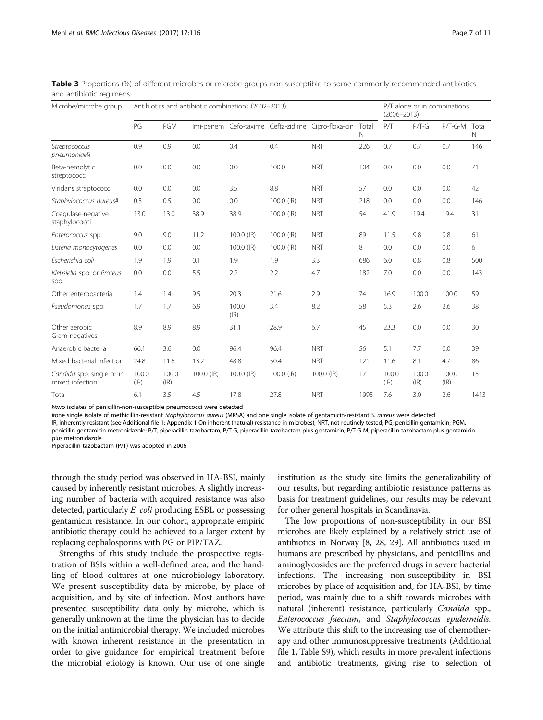| Microbe/microbe group                        | Antibiotics and antibiotic combinations (2002-2013) |               |            |               |            |                                                    |            | P/T alone or in combinations<br>$(2006 - 2013)$ |               |               |            |
|----------------------------------------------|-----------------------------------------------------|---------------|------------|---------------|------------|----------------------------------------------------|------------|-------------------------------------------------|---------------|---------------|------------|
|                                              | PG                                                  | <b>PGM</b>    |            |               |            | Imi-penem Cefo-taxime Cefta-zidime Cipro-floxa-cin | Total<br>N | P/T                                             | $P/T-G$       | P/T-G-M       | Total<br>N |
| Streptococcus<br>pneumoniae§                 | 0.9                                                 | 0.9           | 0.0        | 0.4           | 0.4        | <b>NRT</b>                                         | 226        | 0.7                                             | 0.7           | 0.7           | 146        |
| Beta-hemolytic<br>streptococci               | 0.0                                                 | 0.0           | 0.0        | 0.0           | 100.0      | <b>NRT</b>                                         | 104        | 0.0                                             | 0.0           | 0.0           | 71         |
| Viridans streptococci                        | 0.0                                                 | 0.0           | 0.0        | 3.5           | 8.8        | <b>NRT</b>                                         | 57         | 0.0                                             | 0.0           | 0.0           | 42         |
| Staphylococcus aureus#                       | 0.5                                                 | 0.5           | 0.0        | 0.0           | 100.0 (IR) | <b>NRT</b>                                         | 218        | 0.0                                             | 0.0           | 0.0           | 146        |
| Coagulase-negative<br>staphylococci          | 13.0                                                | 13.0          | 38.9       | 38.9          | 100.0 (IR) | <b>NRT</b>                                         | 54         | 41.9                                            | 19.4          | 19.4          | 31         |
| Enterococcus spp.                            | 9.0                                                 | 9.0           | 11.2       | 100.0 (IR)    | 100.0 (IR) | <b>NRT</b>                                         | 89         | 11.5                                            | 9.8           | 9.8           | 61         |
| Listeria monocytogenes                       | 0.0                                                 | 0.0           | 0.0        | 100.0 (IR)    | 100.0 (IR) | <b>NRT</b>                                         | 8          | 0.0                                             | 0.0           | 0.0           | 6          |
| Escherichia coli                             | 1.9                                                 | 1.9           | 0.1        | 1.9           | 1.9        | 3.3                                                | 686        | 6.0                                             | 0.8           | 0.8           | 500        |
| Klebsiella spp. or Proteus<br>spp.           | 0.0                                                 | 0.0           | 5.5        | 2.2           | 2.2        | 4.7                                                | 182        | 7.0                                             | 0.0           | 0.0           | 143        |
| Other enterobacteria                         | 1.4                                                 | 1.4           | 9.5        | 20.3          | 21.6       | 2.9                                                | 74         | 16.9                                            | 100.0         | 100.0         | 59         |
| Pseudomonas spp.                             | 1.7                                                 | 1.7           | 6.9        | 100.0<br>(IR) | 3.4        | 8.2                                                | 58         | 5.3                                             | 2.6           | 2.6           | 38         |
| Other aerobic<br>Gram-negatives              | 8.9                                                 | 8.9           | 8.9        | 31.1          | 28.9       | 6.7                                                | 45         | 23.3                                            | 0.0           | 0.0           | 30         |
| Anaerobic bacteria                           | 66.1                                                | 3.6           | 0.0        | 96.4          | 96.4       | <b>NRT</b>                                         | 56         | 5.1                                             | 7.7           | 0.0           | 39         |
| Mixed bacterial infection                    | 24.8                                                | 11.6          | 13.2       | 48.8          | 50.4       | <b>NRT</b>                                         | 121        | 11.6                                            | 8.1           | 4.7           | 86         |
| Candida spp. single or in<br>mixed infection | 100.0<br>(IR)                                       | 100.0<br>(IR) | 100.0 (IR) | 100.0 (IR)    | 100.0 (IR) | $100.0$ (IR)                                       | 17         | 100.0<br>$( R\rangle$                           | 100.0<br>(IR) | 100.0<br>(IR) | 15         |
| Total                                        | 6.1                                                 | 3.5           | 4.5        | 17.8          | 27.8       | <b>NRT</b>                                         | 1995       | 7.6                                             | 3.0           | 2.6           | 1413       |

<span id="page-6-0"></span>Table 3 Proportions (%) of different microbes or microbe groups non-susceptible to some commonly recommended antibiotics and antibiotic regimens

§two isolates of penicillin-non-susceptible pneumococci were detected

#one single isolate of methicillin-resistant Staphylococcus aureus (MRSA) and one single isolate of gentamicin-resistant S. aureus were detected

IR, inherently resistant (see Additional file [1:](#page-9-0) Appendix 1 On inherent (natural) resistance in microbes); NRT, not routinely tested; PG, penicillin-gentamicin; PGM, penicillin-gentamicin-metronidazole; P/T, piperacillin-tazobactam; P/T-G, piperacillin-tazobactam plus gentamicin; P/T-G-M, piperacillin-tazobactam plus gentamicin plus metronidazole

Piperacillin-tazobactam (P/T) was adopted in 2006

through the study period was observed in HA-BSI, mainly caused by inherently resistant microbes. A slightly increasing number of bacteria with acquired resistance was also detected, particularly E. coli producing ESBL or possessing gentamicin resistance. In our cohort, appropriate empiric antibiotic therapy could be achieved to a larger extent by replacing cephalosporins with PG or PIP/TAZ.

Strengths of this study include the prospective registration of BSIs within a well-defined area, and the handling of blood cultures at one microbiology laboratory. We present susceptibility data by microbe, by place of acquisition, and by site of infection. Most authors have presented susceptibility data only by microbe, which is generally unknown at the time the physician has to decide on the initial antimicrobial therapy. We included microbes with known inherent resistance in the presentation in order to give guidance for empirical treatment before the microbial etiology is known. Our use of one single

institution as the study site limits the generalizability of our results, but regarding antibiotic resistance patterns as basis for treatment guidelines, our results may be relevant for other general hospitals in Scandinavia.

The low proportions of non-susceptibility in our BSI microbes are likely explained by a relatively strict use of antibiotics in Norway [[8, 28, 29](#page-10-0)]. All antibiotics used in humans are prescribed by physicians, and penicillins and aminoglycosides are the preferred drugs in severe bacterial infections. The increasing non-susceptibility in BSI microbes by place of acquisition and, for HA-BSI, by time period, was mainly due to a shift towards microbes with natural (inherent) resistance, particularly Candida spp., Enterococcus faecium, and Staphylococcus epidermidis. We attribute this shift to the increasing use of chemotherapy and other immunosuppressive treatments (Additional file [1](#page-9-0), Table S9), which results in more prevalent infections and antibiotic treatments, giving rise to selection of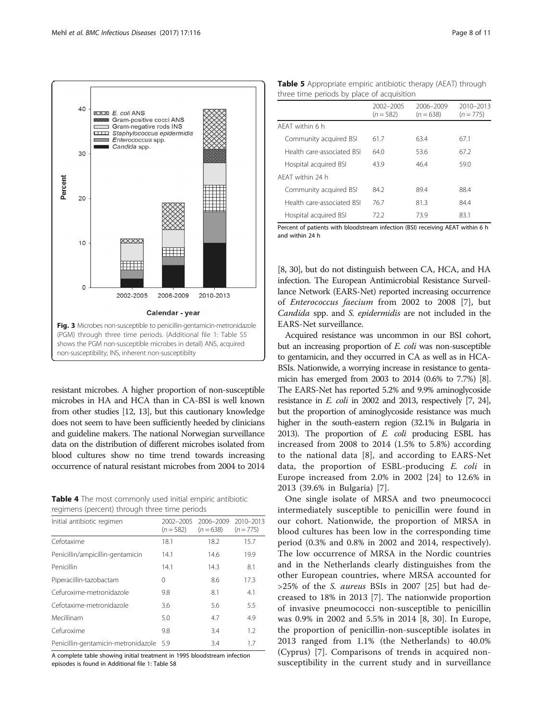<span id="page-7-0"></span>

resistant microbes. A higher proportion of non-susceptible microbes in HA and HCA than in CA-BSI is well known from other studies [\[12](#page-10-0), [13](#page-10-0)], but this cautionary knowledge does not seem to have been sufficiently heeded by clinicians and guideline makers. The national Norwegian surveillance data on the distribution of different microbes isolated from blood cultures show no time trend towards increasing occurrence of natural resistant microbes from 2004 to 2014

Table 4 The most commonly used initial empiric antibiotic regimens (percent) through three time periods

| Initial antibiotic regimen          | 2002-2005<br>$(n = 582)$ | 2006-2009<br>$(n = 638)$ | 2010-2013<br>$(n = 775)$ |
|-------------------------------------|--------------------------|--------------------------|--------------------------|
| Cefotaxime                          | 18.1                     | 18.2                     | 15.7                     |
| Penicillin/ampicillin-gentamicin    | 14.1                     | 14.6                     | 19.9                     |
| Penicillin                          | 14.1                     | 14.3                     | 8.1                      |
| Piperacillin-tazobactam             | 0                        | 8.6                      | 17.3                     |
| Cefuroxime-metronidazole            | 9.8                      | 8.1                      | 4.1                      |
| Cefotaxime-metronidazole            | 3.6                      | 5.6                      | 5.5                      |
| Mecillinam                          | 5.0                      | 4.7                      | 4.9                      |
| Cefuroxime                          | 9.8                      | 3.4                      | 1.2                      |
| Penicillin-gentamicin-metronidazole | - 5.9                    | 3.4                      | 1.7                      |

A complete table showing initial treatment in 1995 bloodstream infection episodes is found in Additional file [1](#page-9-0): Table S8

| <b>Table 5</b> Appropriate empiric antibiotic therapy (AEAT) through |
|----------------------------------------------------------------------|
| three time periods by place of acquisition                           |

|                            | 2002-2005<br>$(n = 582)$ | 2006-2009<br>$(n = 638)$ | 2010-2013<br>$(n = 775)$ |
|----------------------------|--------------------------|--------------------------|--------------------------|
| AFAT within 6 h            |                          |                          |                          |
| Community acquired BSI     | 61.7                     | 63.4                     | 67.1                     |
| Health care-associated BSL | 64.0                     | 53.6                     | 67.2                     |
| Hospital acquired BSI      | 43.9                     | 46.4                     | 59.0                     |
| AFAT within 24 h           |                          |                          |                          |
| Community acquired BSI     | 84.2                     | 89.4                     | 88.4                     |
| Health care-associated BSI | 76.7                     | 81.3                     | 84.4                     |
| Hospital acquired BSI      | 72.2                     | 73.9                     | 83.1                     |

Percent of patients with bloodstream infection (BSI) receiving AEAT within 6 h and within 24 h

[[8](#page-10-0), [30\]](#page-10-0), but do not distinguish between CA, HCA, and HA infection. The European Antimicrobial Resistance Surveillance Network (EARS-Net) reported increasing occurrence of Enterococcus faecium from 2002 to 2008 [[7\]](#page-10-0), but Candida spp. and S. epidermidis are not included in the EARS-Net surveillance.

Acquired resistance was uncommon in our BSI cohort, but an increasing proportion of E. coli was non-susceptible to gentamicin, and they occurred in CA as well as in HCA-BSIs. Nationwide, a worrying increase in resistance to gentamicin has emerged from 2003 to 2014 (0.6% to 7.7%) [\[8](#page-10-0)]. The EARS-Net has reported 5.2% and 9.9% aminoglycoside resistance in E. coli in 2002 and 2013, respectively [[7](#page-10-0), [24\]](#page-10-0), but the proportion of aminoglycoside resistance was much higher in the south-eastern region (32.1% in Bulgaria in 2013). The proportion of  $E$ . coli producing ESBL has increased from 2008 to 2014 (1.5% to 5.8%) according to the national data [[8\]](#page-10-0), and according to EARS-Net data, the proportion of ESBL-producing E. coli in Europe increased from 2.0% in 2002 [\[24](#page-10-0)] to 12.6% in 2013 (39.6% in Bulgaria) [[7\]](#page-10-0).

One single isolate of MRSA and two pneumococci intermediately susceptible to penicillin were found in our cohort. Nationwide, the proportion of MRSA in blood cultures has been low in the corresponding time period (0.3% and 0.8% in 2002 and 2014, respectively). The low occurrence of MRSA in the Nordic countries and in the Netherlands clearly distinguishes from the other European countries, where MRSA accounted for >25% of the S. aureus BSIs in 2007 [\[25](#page-10-0)] but had decreased to 18% in 2013 [\[7](#page-10-0)]. The nationwide proportion of invasive pneumococci non-susceptible to penicillin was 0.9% in 2002 and 5.5% in 2014 [[8, 30\]](#page-10-0). In Europe, the proportion of penicillin-non-susceptible isolates in 2013 ranged from 1.1% (the Netherlands) to 40.0% (Cyprus) [\[7](#page-10-0)]. Comparisons of trends in acquired nonsusceptibility in the current study and in surveillance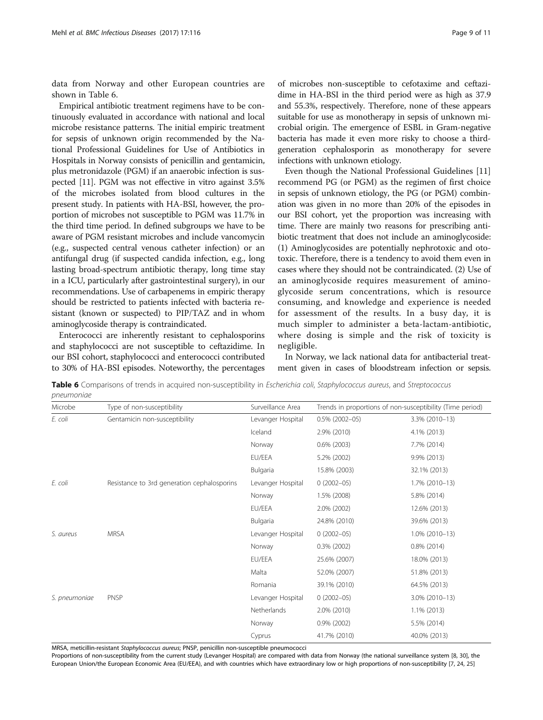data from Norway and other European countries are shown in Table 6.

Empirical antibiotic treatment regimens have to be continuously evaluated in accordance with national and local microbe resistance patterns. The initial empiric treatment for sepsis of unknown origin recommended by the National Professional Guidelines for Use of Antibiotics in Hospitals in Norway consists of penicillin and gentamicin, plus metronidazole (PGM) if an anaerobic infection is suspected [\[11\]](#page-10-0). PGM was not effective in vitro against 3.5% of the microbes isolated from blood cultures in the present study. In patients with HA-BSI, however, the proportion of microbes not susceptible to PGM was 11.7% in the third time period. In defined subgroups we have to be aware of PGM resistant microbes and include vancomycin (e.g., suspected central venous catheter infection) or an antifungal drug (if suspected candida infection, e.g., long lasting broad-spectrum antibiotic therapy, long time stay in a ICU, particularly after gastrointestinal surgery), in our recommendations. Use of carbapenems in empiric therapy should be restricted to patients infected with bacteria resistant (known or suspected) to PIP/TAZ and in whom aminoglycoside therapy is contraindicated.

Enterococci are inherently resistant to cephalosporins and staphylococci are not susceptible to ceftazidime. In our BSI cohort, staphylococci and enterococci contributed to 30% of HA-BSI episodes. Noteworthy, the percentages

of microbes non-susceptible to cefotaxime and ceftazidime in HA-BSI in the third period were as high as 37.9 and 55.3%, respectively. Therefore, none of these appears suitable for use as monotherapy in sepsis of unknown microbial origin. The emergence of ESBL in Gram-negative bacteria has made it even more risky to choose a thirdgeneration cephalosporin as monotherapy for severe infections with unknown etiology.

Even though the National Professional Guidelines [[11](#page-10-0)] recommend PG (or PGM) as the regimen of first choice in sepsis of unknown etiology, the PG (or PGM) combination was given in no more than 20% of the episodes in our BSI cohort, yet the proportion was increasing with time. There are mainly two reasons for prescribing antibiotic treatment that does not include an aminoglycoside: (1) Aminoglycosides are potentially nephrotoxic and ototoxic. Therefore, there is a tendency to avoid them even in cases where they should not be contraindicated. (2) Use of an aminoglycoside requires measurement of aminoglycoside serum concentrations, which is resource consuming, and knowledge and experience is needed for assessment of the results. In a busy day, it is much simpler to administer a beta-lactam-antibiotic, where dosing is simple and the risk of toxicity is negligible.

In Norway, we lack national data for antibacterial treatment given in cases of bloodstream infection or sepsis.

Table 6 Comparisons of trends in acquired non-susceptibility in Escherichia coli, Staphylococcus aureus, and Streptococcus pneumoniae

| Microbe       | Type of non-susceptibility                  | Surveillance Area | Trends in proportions of non-susceptibility (Time period) |                   |
|---------------|---------------------------------------------|-------------------|-----------------------------------------------------------|-------------------|
| E. coli       | Gentamicin non-susceptibility               | Levanger Hospital | $0.5\%$ (2002-05)                                         | 3.3% (2010-13)    |
|               |                                             | Iceland           | 2.9% (2010)                                               | 4.1% (2013)       |
|               |                                             | Norway            | $0.6\%$ (2003)                                            | 7.7% (2014)       |
|               |                                             | EU/EEA            | 5.2% (2002)                                               | 9.9% (2013)       |
|               |                                             | Bulgaria          | 15.8% (2003)                                              | 32.1% (2013)      |
| E. coli       | Resistance to 3rd generation cephalosporins | Levanger Hospital | $0(2002 - 05)$                                            | 1.7% (2010-13)    |
|               |                                             | Norway            | 1.5% (2008)                                               | 5.8% (2014)       |
|               |                                             | EU/EEA            | 2.0% (2002)                                               | 12.6% (2013)      |
|               |                                             | Bulgaria          | 24.8% (2010)                                              | 39.6% (2013)      |
| S. aureus     | <b>MRSA</b>                                 | Levanger Hospital | $0(2002 - 05)$                                            | $1.0\%$ (2010-13) |
|               |                                             | Norway            | $0.3\%$ (2002)                                            | $0.8\%$ (2014)    |
|               |                                             | EU/EEA            | 25.6% (2007)                                              | 18.0% (2013)      |
|               |                                             | Malta             | 52.0% (2007)                                              | 51.8% (2013)      |
|               |                                             | Romania           | 39.1% (2010)                                              | 64.5% (2013)      |
| S. pneumoniae | <b>PNSP</b>                                 | Levanger Hospital | $0(2002 - 05)$                                            | 3.0% (2010-13)    |
|               |                                             | Netherlands       | 2.0% (2010)                                               | $1.1\%$ (2013)    |
|               |                                             | Norway            | $0.9\%$ (2002)                                            | 5.5% (2014)       |
|               |                                             | Cyprus            | 41.7% (2010)                                              | 40.0% (2013)      |

MRSA, meticillin-resistant Staphylococcus aureus; PNSP, penicillin non-susceptible pneumococci

Proportions of non-susceptibility from the current study (Levanger Hospital) are compared with data from Norway (the national surveillance system [\[8,](#page-10-0) [30](#page-10-0)], the European Union/the European Economic Area (EU/EEA), and with countries which have extraordinary low or high proportions of non-susceptibility [\[7,](#page-10-0) [24,](#page-10-0) [25](#page-10-0)]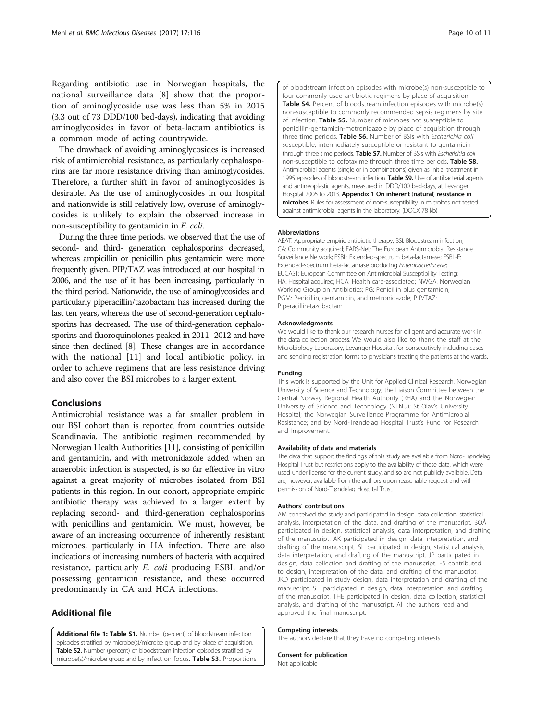<span id="page-9-0"></span>Regarding antibiotic use in Norwegian hospitals, the national surveillance data [\[8](#page-10-0)] show that the proportion of aminoglycoside use was less than 5% in 2015 (3.3 out of 73 DDD/100 bed-days), indicating that avoiding aminoglycosides in favor of beta-lactam antibiotics is a common mode of acting countrywide.

The drawback of avoiding aminoglycosides is increased risk of antimicrobial resistance, as particularly cephalosporins are far more resistance driving than aminoglycosides. Therefore, a further shift in favor of aminoglycosides is desirable. As the use of aminoglycosides in our hospital and nationwide is still relatively low, overuse of aminoglycosides is unlikely to explain the observed increase in non-susceptibility to gentamicin in E. coli.

During the three time periods, we observed that the use of second- and third- generation cephalosporins decreased, whereas ampicillin or penicillin plus gentamicin were more frequently given. PIP/TAZ was introduced at our hospital in 2006, and the use of it has been increasing, particularly in the third period. Nationwide, the use of aminoglycosides and particularly piperacillin/tazobactam has increased during the last ten years, whereas the use of second-generation cephalosporins has decreased. The use of third-generation cephalosporins and fluoroquinolones peaked in 2011–2012 and have since then declined [[8](#page-10-0)]. These changes are in accordance with the national [[11](#page-10-0)] and local antibiotic policy, in order to achieve regimens that are less resistance driving and also cover the BSI microbes to a larger extent.

# Conclusions

Antimicrobial resistance was a far smaller problem in our BSI cohort than is reported from countries outside Scandinavia. The antibiotic regimen recommended by Norwegian Health Authorities [\[11\]](#page-10-0), consisting of penicillin and gentamicin, and with metronidazole added when an anaerobic infection is suspected, is so far effective in vitro against a great majority of microbes isolated from BSI patients in this region. In our cohort, appropriate empiric antibiotic therapy was achieved to a larger extent by replacing second- and third-generation cephalosporins with penicillins and gentamicin. We must, however, be aware of an increasing occurrence of inherently resistant microbes, particularly in HA infection. There are also indications of increasing numbers of bacteria with acquired resistance, particularly E. coli producing ESBL and/or possessing gentamicin resistance, and these occurred predominantly in CA and HCA infections.

# Additional file

[Additional file 1: Table S1.](dx.doi.org/10.1186/s12879-017-2210-6) Number (percent) of bloodstream infection episodes stratified by microbe(s)/microbe group and by place of acquisition. Table S2. Number (percent) of bloodstream infection episodes stratified by microbe(s)/microbe group and by infection focus. Table S3. Proportions of bloodstream infection episodes with microbe(s) non-susceptible to four commonly used antibiotic regimens by place of acquisition. Table S4. Percent of bloodstream infection episodes with microbe(s) non-susceptible to commonly recommended sepsis regimens by site of infection. Table S5. Number of microbes not susceptible to penicillin-gentamicin-metronidazole by place of acquisition through three time periods. Table S6. Number of BSIs with Escherichia coli susceptible, intermediately susceptible or resistant to gentamicin through three time periods. Table S7. Number of BSIs with Escherichia coli non-susceptible to cefotaxime through three time periods. Table S8. Antimicrobial agents (single or in combinations) given as initial treatment in 1995 episodes of bloodstream infection. Table S9. Use of antibacterial agents and antineoplastic agents, measured in DDD/100 bed-days, at Levanger Hospital 2006 to 2013. Appendix 1 On inherent (natural) resistance in microbes. Rules for assessment of non-susceptibility in microbes not tested against antimicrobial agents in the laboratory. (DOCX 78 kb)

#### Abbreviations

AEAT: Appropriate empiric antibiotic therapy; BSI: Bloodstream infection; CA: Community acquired; EARS-Net: The European Antimicrobial Resistance Surveillance Network; ESBL: Extended-spectrum beta-lactamase; ESBL-E: Extended-spectrum beta-lactamase producing Enterobacteriaceae; EUCAST: European Committee on Antimicrobial Susceptibility Testing; HA: Hospital acquired; HCA: Health care-associated; NWGA: Norwegian Working Group on Antibiotics; PG: Penicillin plus gentamicin; PGM: Penicillin, gentamicin, and metronidazole; PIP/TAZ: Piperacillin-tazobactam

#### Acknowledgments

We would like to thank our research nurses for diligent and accurate work in the data collection process. We would also like to thank the staff at the Microbiology Laboratory, Levanger Hospital, for consecutively including cases and sending registration forms to physicians treating the patients at the wards.

#### Funding

This work is supported by the Unit for Applied Clinical Research, Norwegian University of Science and Technology; the Liaison Committee between the Central Norway Regional Health Authority (RHA) and the Norwegian University of Science and Technology (NTNU); St Olav's University Hospital; the Norwegian Surveillance Programme for Antimicrobial Resistance; and by Nord-Trøndelag Hospital Trust's Fund for Research and Improvement.

#### Availability of data and materials

The data that support the findings of this study are available from Nord-Trøndelag Hospital Trust but restrictions apply to the availability of these data, which were used under license for the current study, and so are not publicly available. Data are, however, available from the authors upon reasonable request and with permission of Nord-Trøndelag Hospital Trust.

#### Authors' contributions

AM conceived the study and participated in design, data collection, statistical analysis, interpretation of the data, and drafting of the manuscript. BOÅ participated in design, statistical analysis, data interpretation, and drafting of the manuscript. AK participated in design, data interpretation, and drafting of the manuscript. SL participated in design, statistical analysis, data interpretation, and drafting of the manuscript. JP participated in design, data collection and drafting of the manuscript. ES contributed to design, interpretation of the data, and drafting of the manuscript. JKD participated in study design, data interpretation and drafting of the manuscript. SH participated in design, data interpretation, and drafting of the manuscript. THE participated in design, data collection, statistical analysis, and drafting of the manuscript. All the authors read and approved the final manuscript.

#### Competing interests

The authors declare that they have no competing interests.

Consent for publication

Not applicable